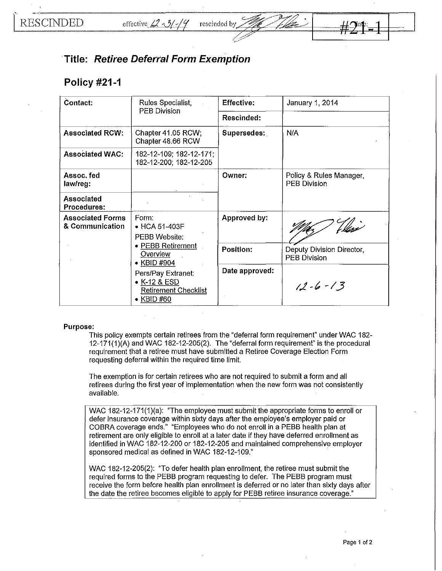## **Title: Retiree Deferral Form Exemption**

## **Policy #21-1**

| Contact:                                            | Rules Specialist,<br><b>PEB Division</b>                                                                                         | Effective:     | January 1, 2014                                  |
|-----------------------------------------------------|----------------------------------------------------------------------------------------------------------------------------------|----------------|--------------------------------------------------|
|                                                     |                                                                                                                                  | Rescinded:     |                                                  |
| <b>Associated RCW:</b>                              | Chapter 41.05 RCW;<br>Chapter 48.66 RCW                                                                                          | Supersedes:    | N/A                                              |
| <b>Associated WAC:</b>                              | 182-12-109; 182-12-171;<br>182-12-200; 182-12-205                                                                                |                |                                                  |
| Assoc fed<br>law/reg:                               |                                                                                                                                  | Owner:         | Policy & Rules Manager,<br><b>PEB Division</b>   |
| Associated<br><b>Procedures:</b>                    |                                                                                                                                  |                |                                                  |
| <b>Associated Forms</b><br>Form:<br>& Communication | $\bullet$ HCA 51-403F<br>PEBB Website:                                                                                           | Approved by:   |                                                  |
|                                                     | • PEBB Retirement<br>Overview<br>• KBID #904<br>Pers/Pay Extranet:<br>• K-12 & ESD<br>Retirement Checklist<br>$\bullet$ KBID #60 | Position:      | Deputy Division Director,<br><b>PEB Division</b> |
|                                                     |                                                                                                                                  | Date approved: | $12 - 6 - 13$                                    |

## **Purpose:**

This policy exempts certain retirees from the "deferral form requirement" under WAC 182-  $12-171(1)$ (A) and WAC 182-12-205(2). The "deferral form requirement" is the procedural requirement that a retiree must have submitted a Retiree Coverage Election Form requesting deferral within the required time limit.

The exemption is for certain retirees who are not required to submit a form and all retirees during the first year of implementation when the new form was not consistently available.

WAC 182-12-171(1)(a): "The employee must submit the appropriate forms to enroll or defer insurance coverage within sixty days after the employee's employer paid or COBRA coverage ends." "Employees who do not enroll in a PEBB health plan at retirement are only eligible to enroll at a later date if they have deferred enrollment as identified in WAC 182-12-200 or 182-12-205 and maintained comprehensive employer sponsored medical as defined in WAC 182-12-109."

WAC 182-12-205(2): "To defer health plan enrollment, the retiree must submit the required forms to the PEBB program requesting to defer. The PEBB program must receive the form before health plan enrollment is deferred or no later than sixty days after the date the retiree becomes eligible to apply for PEBB retiree insurance coverage."